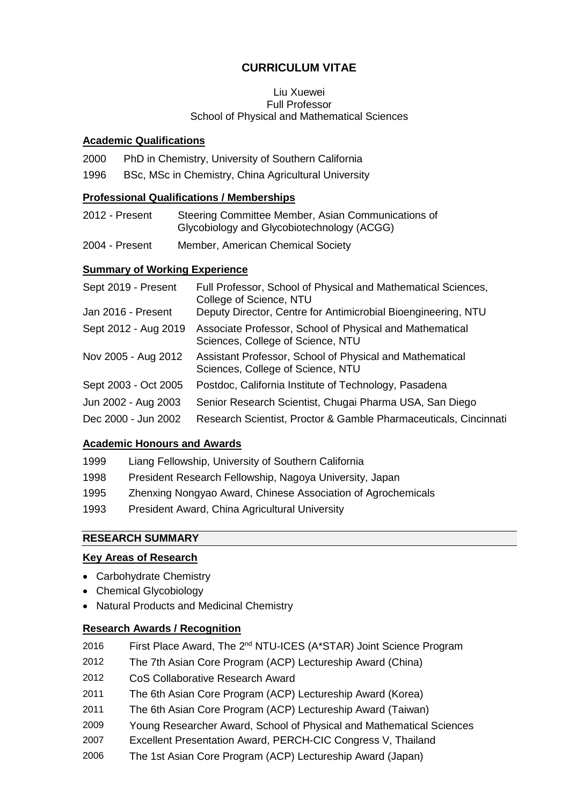# **CURRICULUM VITAE**

#### Liu Xuewei Full Professor School of Physical and Mathematical Sciences

#### **Academic Qualifications**

2000 PhD in Chemistry, University of Southern California

1996 BSc, MSc in Chemistry, China Agricultural University

#### **Professional Qualifications / Memberships**

- 2012 Present Steering Committee Member, Asian Communications of Glycobiology and Glycobiotechnology (ACGG)
- 2004 Present Member, American Chemical Society

### **Summary of Working Experience**

| Sept 2019 - Present  | Full Professor, School of Physical and Mathematical Sciences,<br>College of Science, NTU      |
|----------------------|-----------------------------------------------------------------------------------------------|
| Jan 2016 - Present   | Deputy Director, Centre for Antimicrobial Bioengineering, NTU                                 |
| Sept 2012 - Aug 2019 | Associate Professor, School of Physical and Mathematical<br>Sciences, College of Science, NTU |
| Nov 2005 - Aug 2012  | Assistant Professor, School of Physical and Mathematical<br>Sciences, College of Science, NTU |
| Sept 2003 - Oct 2005 | Postdoc, California Institute of Technology, Pasadena                                         |
| Jun 2002 - Aug 2003  | Senior Research Scientist, Chugai Pharma USA, San Diego                                       |
| Dec 2000 - Jun 2002  | Research Scientist, Proctor & Gamble Pharmaceuticals, Cincinnati                              |

### **Academic Honours and Awards**

- 1999 Liang Fellowship, University of Southern California
- 1998 President Research Fellowship, Nagoya University, Japan
- 1995 Zhenxing Nongyao Award, Chinese Association of Agrochemicals
- 1993 President Award, China Agricultural University

## **RESEARCH SUMMARY**

### **Key Areas of Research**

- Carbohydrate Chemistry
- Chemical Glycobiology
- Natural Products and Medicinal Chemistry

### **Research Awards / Recognition**

| 2016 |  | First Place Award, The 2 <sup>nd</sup> NTU-ICES (A*STAR) Joint Science Program |  |
|------|--|--------------------------------------------------------------------------------|--|
|------|--|--------------------------------------------------------------------------------|--|

- 2012 The 7th Asian Core Program (ACP) Lectureship Award (China)
- 2012 CoS Collaborative Research Award
- 2011 The 6th Asian Core Program (ACP) Lectureship Award (Korea)
- 2011 The 6th Asian Core Program (ACP) Lectureship Award (Taiwan)
- 2009 Young Researcher Award, School of Physical and Mathematical Sciences
- 2007 Excellent Presentation Award, PERCH-CIC Congress V, Thailand
- 2006 The 1st Asian Core Program (ACP) Lectureship Award (Japan)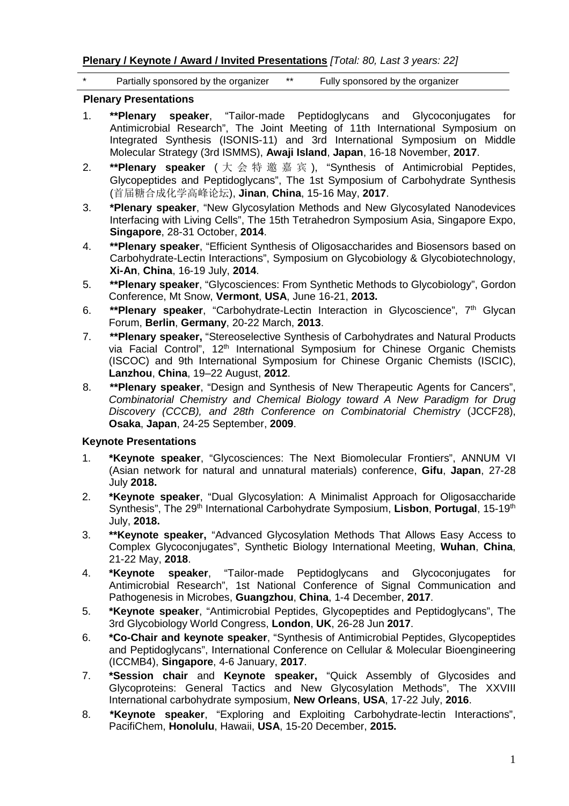**Plenary / Keynote / Award / Invited Presentations** *[Total: 80, Last 3 years: 22]* 

Partially sponsored by the organizer \*\* Fully sponsored by the organizer

#### **Plenary Presentations**

- 1. **\*\*Plenary speaker**, "Tailor-made Peptidoglycans and Glycoconjugates for Antimicrobial Research", The Joint Meeting of 11th International Symposium on Integrated Synthesis (ISONIS-11) and 3rd International Symposium on Middle Molecular Strategy (3rd ISMMS), **Awaji Island**, **Japan**, 16-18 November, **2017**.
- 2. **\*\*Plenary speaker** ( 大 会 特 邀 嘉 宾 ), "Synthesis of Antimicrobial Peptides, Glycopeptides and Peptidoglycans", The 1st Symposium of Carbohydrate Synthesis (首届糖合成化学高峰论坛), **Jinan**, **China**, 15-16 May, **2017**.
- 3. **\*Plenary speaker**, "New Glycosylation Methods and New Glycosylated Nanodevices Interfacing with Living Cells", The 15th Tetrahedron Symposium Asia, Singapore Expo, **Singapore**, 28-31 October, **2014**.
- 4. **\*\*Plenary speaker**, "Efficient Synthesis of Oligosaccharides and Biosensors based on Carbohydrate-Lectin Interactions", Symposium on Glycobiology & Glycobiotechnology, **Xi-An**, **China**, 16-19 July, **2014**.
- 5. **\*\*Plenary speaker**, "Glycosciences: From Synthetic Methods to Glycobiology", Gordon Conference, Mt Snow, **Vermont**, **USA**, June 16-21, **2013.**
- 6. **\*\*Plenary speaker**, "Carbohydrate-Lectin Interaction in Glycoscience", 7th Glycan Forum, **Berlin**, **Germany**, 20-22 March, **2013**.
- 7. **\*\*Plenary speaker,** "Stereoselective Synthesis of Carbohydrates and Natural Products via Facial Control". 12<sup>th</sup> International Symposium for Chinese Organic Chemists (ISCOC) and 9th International Symposium for Chinese Organic Chemists (ISCIC), **Lanzhou**, **China**, 19–22 August, **2012**.
- 8. **\*\*Plenary speaker**, "Design and Synthesis of New Therapeutic Agents for Cancers", *Combinatorial Chemistry and Chemical Biology toward A New Paradigm for Drug Discovery (CCCB), and 28th Conference on Combinatorial Chemistry* (JCCF28), **Osaka**, **Japan**, 24-25 September, **2009**.

### **Keynote Presentations**

- 1. **\*Keynote speaker**, "Glycosciences: The Next Biomolecular Frontiers", ANNUM VI (Asian network for natural and unnatural materials) conference, **Gifu**, **Japan**, 27-28 July **2018.**
- 2. **\*Keynote speaker**, "Dual Glycosylation: A Minimalist Approach for Oligosaccharide Synthesis", The 29<sup>th</sup> International Carbohydrate Symposium, Lisbon, Portugal, 15-19<sup>th</sup> July, **2018.**
- 3. **\*\*Keynote speaker,** "Advanced Glycosylation Methods That Allows Easy Access to Complex Glycoconjugates", Synthetic Biology International Meeting, **Wuhan**, **China**, 21-22 May, **2018**.
- 4. **\*Keynote speaker**, "Tailor-made Peptidoglycans and Glycoconjugates for Antimicrobial Research", 1st National Conference of Signal Communication and Pathogenesis in Microbes, **Guangzhou**, **China**, 1-4 December, **2017**.
- 5. **\*Keynote speaker**, "Antimicrobial Peptides, Glycopeptides and Peptidoglycans", The 3rd Glycobiology World Congress, **London**, **UK**, 26-28 Jun **2017**.
- 6. **\*Co-Chair and keynote speaker**, "Synthesis of Antimicrobial Peptides, Glycopeptides and Peptidoglycans", International Conference on Cellular & Molecular Bioengineering (ICCMB4), **Singapore**, 4-6 January, **2017**.
- 7. **\*Session chair** and **Keynote speaker,** "Quick Assembly of Glycosides and Glycoproteins: General Tactics and New Glycosylation Methods", The XXVIII International carbohydrate symposium, **New Orleans**, **USA**, 17-22 July, **2016**.
- 8. **\*Keynote speaker**, "Exploring and Exploiting Carbohydrate-lectin Interactions", PacifiChem, **Honolulu**, Hawaii, **USA**, 15-20 December, **2015.**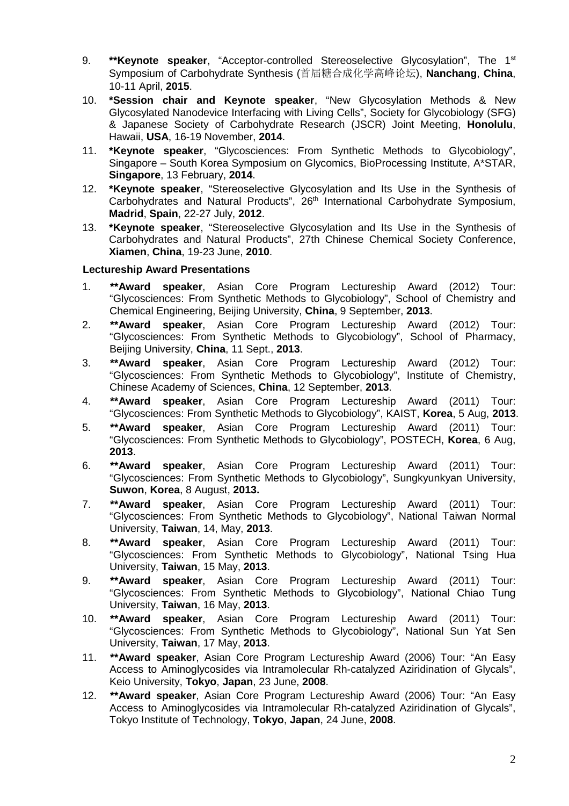- 9. **\*\*Keynote speaker**, "Acceptor-controlled Stereoselective Glycosylation", The 1st Symposium of Carbohydrate Synthesis (首届糖合成化学高峰论坛), **Nanchang**, **China**, 10-11 April, **2015**.
- 10. **\*Session chair and Keynote speaker**, "New Glycosylation Methods & New Glycosylated Nanodevice Interfacing with Living Cells", Society for Glycobiology (SFG) & Japanese Society of Carbohydrate Research (JSCR) Joint Meeting, **Honolulu**, Hawaii, **USA**, 16-19 November, **2014**.
- 11. **\*Keynote speaker**, "Glycosciences: From Synthetic Methods to Glycobiology", Singapore – South Korea Symposium on Glycomics, BioProcessing Institute, A\*STAR, **Singapore**, 13 February, **2014**.
- 12. **\*Keynote speaker**, "Stereoselective Glycosylation and Its Use in the Synthesis of Carbohydrates and Natural Products", 26<sup>th</sup> International Carbohydrate Symposium, **Madrid**, **Spain**, 22-27 July, **2012**.
- 13. **\*Keynote speaker**, "Stereoselective Glycosylation and Its Use in the Synthesis of Carbohydrates and Natural Products", 27th Chinese Chemical Society Conference, **Xiamen**, **China**, 19-23 June, **2010**.

#### **Lectureship Award Presentations**

- 1. **\*\*Award speaker**, Asian Core Program Lectureship Award (2012) Tour: "Glycosciences: From Synthetic Methods to Glycobiology", School of Chemistry and Chemical Engineering, Beijing University, **China**, 9 September, **2013**.
- 2. **\*\*Award speaker**, Asian Core Program Lectureship Award (2012) Tour: "Glycosciences: From Synthetic Methods to Glycobiology", School of Pharmacy, Beijing University, **China**, 11 Sept., **2013**.
- 3. **\*\*Award speaker**, Asian Core Program Lectureship Award (2012) Tour: "Glycosciences: From Synthetic Methods to Glycobiology", Institute of Chemistry, Chinese Academy of Sciences, **China**, 12 September, **2013**.
- 4. **\*\*Award speaker**, Asian Core Program Lectureship Award (2011) Tour: "Glycosciences: From Synthetic Methods to Glycobiology", KAIST, **Korea**, 5 Aug, **2013**.
- 5. **\*\*Award speaker**, Asian Core Program Lectureship Award (2011) Tour: "Glycosciences: From Synthetic Methods to Glycobiology", POSTECH, **Korea**, 6 Aug, **2013**.
- 6. **\*\*Award speaker**, Asian Core Program Lectureship Award (2011) Tour: "Glycosciences: From Synthetic Methods to Glycobiology", Sungkyunkyan University, **Suwon**, **Korea**, 8 August, **2013.**
- 7. **\*\*Award speaker**, Asian Core Program Lectureship Award (2011) Tour: "Glycosciences: From Synthetic Methods to Glycobiology", National Taiwan Normal University, **Taiwan**, 14, May, **2013**.
- 8. **\*\*Award speaker**, Asian Core Program Lectureship Award (2011) Tour: "Glycosciences: From Synthetic Methods to Glycobiology", National Tsing Hua University, **Taiwan**, 15 May, **2013**.
- 9. **\*\*Award speaker**, Asian Core Program Lectureship Award (2011) Tour: "Glycosciences: From Synthetic Methods to Glycobiology", National Chiao Tung University, **Taiwan**, 16 May, **2013**.
- 10. **\*\*Award speaker**, Asian Core Program Lectureship Award (2011) Tour: "Glycosciences: From Synthetic Methods to Glycobiology", National Sun Yat Sen University, **Taiwan**, 17 May, **2013**.
- 11. **\*\*Award speaker**, Asian Core Program Lectureship Award (2006) Tour: "An Easy Access to Aminoglycosides via Intramolecular Rh-catalyzed Aziridination of Glycals", Keio University, **Tokyo**, **Japan**, 23 June, **2008**.
- 12. **\*\*Award speaker**, Asian Core Program Lectureship Award (2006) Tour: "An Easy Access to Aminoglycosides via Intramolecular Rh-catalyzed Aziridination of Glycals", Tokyo Institute of Technology, **Tokyo**, **Japan**, 24 June, **2008**.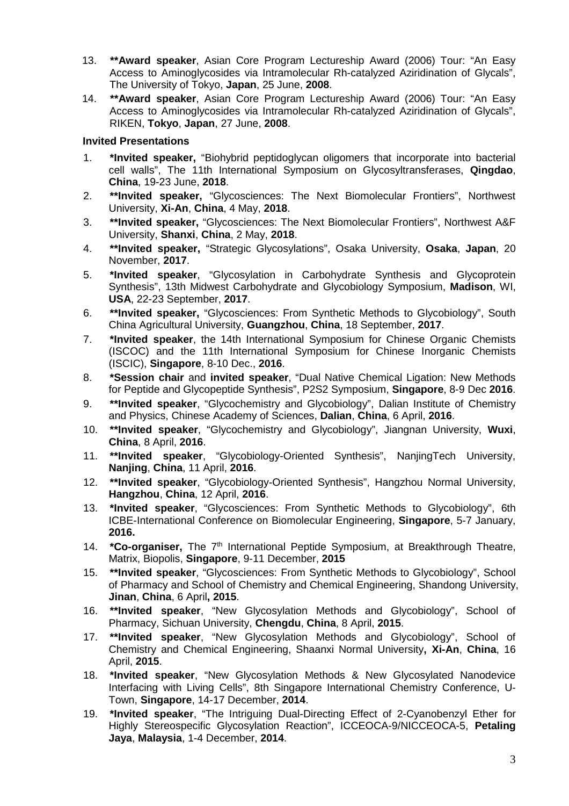- 13. **\*\*Award speaker**, Asian Core Program Lectureship Award (2006) Tour: "An Easy Access to Aminoglycosides via Intramolecular Rh-catalyzed Aziridination of Glycals", The University of Tokyo, **Japan**, 25 June, **2008**.
- 14. **\*\*Award speaker**, Asian Core Program Lectureship Award (2006) Tour: "An Easy Access to Aminoglycosides via Intramolecular Rh-catalyzed Aziridination of Glycals", RIKEN, **Tokyo**, **Japan**, 27 June, **2008**.

#### **Invited Presentations**

- 1. **\*Invited speaker,** "Biohybrid peptidoglycan oligomers that incorporate into bacterial cell walls", The 11th International Symposium on Glycosyltransferases, **Qingdao**, **China**, 19-23 June, **2018**.
- 2. **\*\*Invited speaker,** "Glycosciences: The Next Biomolecular Frontiers", Northwest University, **Xi-An**, **China**, 4 May, **2018**.
- 3. **\*\*Invited speaker,** "Glycosciences: The Next Biomolecular Frontiers", Northwest A&F University, **Shanxi**, **China**, 2 May, **2018**.
- 4. **\*\*Invited speaker,** "Strategic Glycosylations", Osaka University, **Osaka**, **Japan**, 20 November, **2017**.
- 5. **\*Invited speaker**, "Glycosylation in Carbohydrate Synthesis and Glycoprotein Synthesis", 13th Midwest Carbohydrate and Glycobiology Symposium, **Madison**, WI, **USA**, 22-23 September, **2017**.
- 6. **\*\*Invited speaker,** "Glycosciences: From Synthetic Methods to Glycobiology", South China Agricultural University, **Guangzhou**, **China**, 18 September, **2017**.
- 7. **\*Invited speaker**, the 14th International Symposium for Chinese Organic Chemists (ISCOC) and the 11th International Symposium for Chinese Inorganic Chemists (ISCIC), **Singapore**, 8-10 Dec., **2016**.
- 8. **\*Session chair** and **invited speaker**, "Dual Native Chemical Ligation: New Methods for Peptide and Glycopeptide Synthesis", P2S2 Symposium, **Singapore**, 8-9 Dec **2016**.
- 9. **\*\*Invited speaker**, "Glycochemistry and Glycobiology", Dalian Institute of Chemistry and Physics, Chinese Academy of Sciences, **Dalian**, **China**, 6 April, **2016**.
- 10. **\*\*Invited speaker**, "Glycochemistry and Glycobiology", Jiangnan University, **Wuxi**, **China**, 8 April, **2016**.
- 11. **\*\*Invited speaker**, "Glycobiology-Oriented Synthesis", NanjingTech University, **Nanjing**, **China**, 11 April, **2016**.
- 12. **\*\*Invited speaker**, "Glycobiology-Oriented Synthesis", Hangzhou Normal University, **Hangzhou**, **China**, 12 April, **2016**.
- 13. **\*Invited speaker**, "Glycosciences: From Synthetic Methods to Glycobiology", 6th ICBE-International Conference on Biomolecular Engineering, **Singapore**, 5-7 January, **2016.**
- 14. **\*Co-organiser,** The 7<sup>th</sup> International Peptide Symposium, at Breakthrough Theatre, Matrix, Biopolis, **Singapore**, 9-11 December, **2015**
- 15. **\*\*Invited speaker**, "Glycosciences: From Synthetic Methods to Glycobiology", School of Pharmacy and School of Chemistry and Chemical Engineering, Shandong University, **Jinan**, **China**, 6 April**, 2015**.
- 16. **\*\*Invited speaker**, "New Glycosylation Methods and Glycobiology", School of Pharmacy, Sichuan University, **Chengdu**, **China**, 8 April, **2015**.
- 17. **\*\*Invited speaker**, "New Glycosylation Methods and Glycobiology", School of Chemistry and Chemical Engineering, Shaanxi Normal University**, Xi-An**, **China**, 16 April, **2015**.
- 18. **\*Invited speaker**, "New Glycosylation Methods & New Glycosylated Nanodevice Interfacing with Living Cells", 8th Singapore International Chemistry Conference, U-Town, **Singapore**, 14-17 December, **2014**.
- 19. **\*Invited speaker**, "The Intriguing Dual-Directing Effect of 2-Cyanobenzyl Ether for Highly Stereospecific Glycosylation Reaction", ICCEOCA-9/NICCEOCA-5, **Petaling Jaya**, **Malaysia**, 1-4 December, **2014**.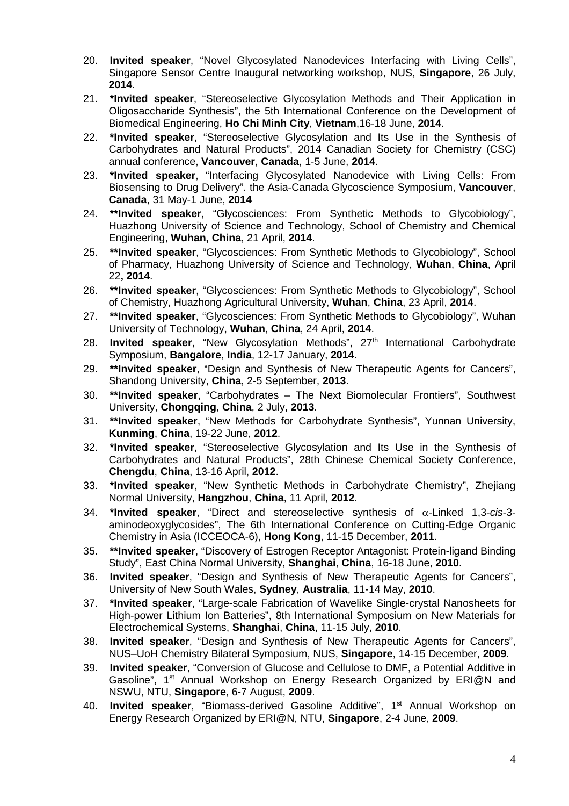- 20. **Invited speaker**, "Novel Glycosylated Nanodevices Interfacing with Living Cells", Singapore Sensor Centre Inaugural networking workshop, NUS, **Singapore**, 26 July, **2014**.
- 21. **\*Invited speaker**, "Stereoselective Glycosylation Methods and Their Application in Oligosaccharide Synthesis", the 5th International Conference on the Development of Biomedical Engineering, **Ho Chi Minh City**, **Vietnam**,16-18 June, **2014**.
- 22. **\*Invited speaker**, "Stereoselective Glycosylation and Its Use in the Synthesis of Carbohydrates and Natural Products", 2014 Canadian Society for Chemistry (CSC) annual conference, **Vancouver**, **Canada**, 1-5 June, **2014**.
- 23. **\*Invited speaker**, "Interfacing Glycosylated Nanodevice with Living Cells: From Biosensing to Drug Delivery". the Asia-Canada Glycoscience Symposium, **Vancouver**, **Canada**, 31 May-1 June, **2014**
- 24. **\*\*Invited speaker**, "Glycosciences: From Synthetic Methods to Glycobiology", Huazhong University of Science and Technology, School of Chemistry and Chemical Engineering, **Wuhan, China**, 21 April, **2014**.
- 25. **\*\*Invited speaker**, "Glycosciences: From Synthetic Methods to Glycobiology", School of Pharmacy, Huazhong University of Science and Technology, **Wuhan**, **China**, April 22**, 2014**.
- 26. **\*\*Invited speaker**, "Glycosciences: From Synthetic Methods to Glycobiology", School of Chemistry, Huazhong Agricultural University, **Wuhan**, **China**, 23 April, **2014**.
- 27. **\*\*Invited speaker**, "Glycosciences: From Synthetic Methods to Glycobiology", Wuhan University of Technology, **Wuhan**, **China**, 24 April, **2014**.
- 28. **Invited speaker**, "New Glycosylation Methods", 27<sup>th</sup> International Carbohydrate Symposium, **Bangalore**, **India**, 12-17 January, **2014**.
- 29. **\*\*Invited speaker**, "Design and Synthesis of New Therapeutic Agents for Cancers", Shandong University, **China**, 2-5 September, **2013**.
- 30. **\*\*Invited speaker**, "Carbohydrates The Next Biomolecular Frontiers", Southwest University, **Chongqing**, **China**, 2 July, **2013**.
- 31. **\*\*Invited speaker**, "New Methods for Carbohydrate Synthesis", Yunnan University, **Kunming**, **China**, 19-22 June, **2012**.
- 32. **\*Invited speaker**, "Stereoselective Glycosylation and Its Use in the Synthesis of Carbohydrates and Natural Products", 28th Chinese Chemical Society Conference, **Chengdu**, **China**, 13-16 April, **2012**.
- 33. **\*Invited speaker**, "New Synthetic Methods in Carbohydrate Chemistry", Zhejiang Normal University, **Hangzhou**, **China**, 11 April, **2012**.
- 34. **\*Invited speaker**, "Direct and stereoselective synthesis of α-Linked 1,3-*cis*-3 aminodeoxyglycosides", The 6th International Conference on Cutting-Edge Organic Chemistry in Asia (ICCEOCA-6), **Hong Kong**, 11-15 December, **2011**.
- 35. **\*\*Invited speaker**, "Discovery of Estrogen Receptor Antagonist: Protein-ligand Binding Study", East China Normal University, **Shanghai**, **China**, 16-18 June, **2010**.
- 36. **Invited speaker**, "Design and Synthesis of New Therapeutic Agents for Cancers", University of New South Wales, **Sydney**, **Australia**, 11-14 May, **2010**.
- 37. **\*Invited speaker**, "Large-scale Fabrication of Wavelike Single-crystal Nanosheets for High-power Lithium Ion Batteries", 8th International Symposium on New Materials for Electrochemical Systems, **Shanghai**, **China**, 11-15 July, **2010**.
- 38. **Invited speaker**, "Design and Synthesis of New Therapeutic Agents for Cancers", NUS–UoH Chemistry Bilateral Symposium, NUS, **Singapore**, 14-15 December, **2009**.
- 39. **Invited speaker**, "Conversion of Glucose and Cellulose to DMF, a Potential Additive in Gasoline", 1<sup>st</sup> Annual Workshop on Energy Research Organized by ERI@N and NSWU, NTU, **Singapore**, 6-7 August, **2009**.
- 40. **Invited speaker**, "Biomass-derived Gasoline Additive", 1st Annual Workshop on Energy Research Organized by ERI@N, NTU, **Singapore**, 2-4 June, **2009**.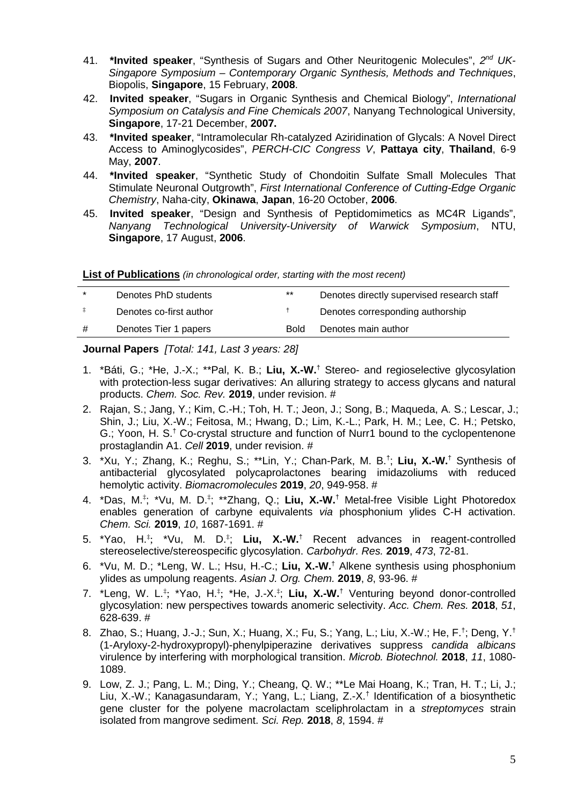- 41. \*Invited speaker, "Synthesis of Sugars and Other Neuritogenic Molecules", 2<sup>nd</sup> UK-*Singapore Symposium – Contemporary Organic Synthesis, Methods and Techniques*, Biopolis, **Singapore**, 15 February, **2008**.
- 42. **Invited speaker**, "Sugars in Organic Synthesis and Chemical Biology", *International Symposium on Catalysis and Fine Chemicals 2007*, Nanyang Technological University, **Singapore**, 17-21 December, **2007.**
- 43. **\*Invited speaker**, "Intramolecular Rh-catalyzed Aziridination of Glycals: A Novel Direct Access to Aminoglycosides", *PERCH-CIC Congress V*, **Pattaya city**, **Thailand**, 6-9 May, **2007**.
- 44. **\*Invited speaker**, "Synthetic Study of Chondoitin Sulfate Small Molecules That Stimulate Neuronal Outgrowth", *First International Conference of Cutting-Edge Organic Chemistry*, Naha-city, **Okinawa**, **Japan**, 16-20 October, **2006**.
- 45. **Invited speaker**, "Design and Synthesis of Peptidomimetics as MC4R Ligands", *Nanyang Technological University-University of Warwick Symposium*, NTU, **Singapore**, 17 August, **2006**.

**List of Publications** *(in chronological order, starting with the most recent)* 

| $\star$ | Denotes PhD students    | $***$       | Denotes directly supervised research staff |
|---------|-------------------------|-------------|--------------------------------------------|
|         | Denotes co-first author |             | Denotes corresponding authorship           |
| #       | Denotes Tier 1 papers   | <b>Bold</b> | Denotes main author                        |
|         |                         |             |                                            |

#### **Journal Papers** *[Total: 141, Last 3 years: 28]*

- 1. \*Báti, G.; \*He, J.-X.; \*\*Pal, K. B.; **Liu, X.-W.**† Stereo- and regioselective glycosylation with protection-less sugar derivatives: An alluring strategy to access glycans and natural products. *Chem. Soc. Rev.* **2019**, under revision. #
- 2. Rajan, S.; Jang, Y.; Kim, C.-H.; Toh, H. T.; Jeon, J.; Song, B.; Maqueda, A. S.; Lescar, J.; Shin, J.; Liu, X.-W.; Feitosa, M.; Hwang, D.; Lim, K.-L.; Park, H. M.; Lee, C. H.; Petsko, G.; Yoon, H. S.<sup>†</sup> Co-crystal structure and function of Nurr1 bound to the cyclopentenone prostaglandin A1. *Cell* **2019**, under revision. #
- 3. \*Xu, Y.; Zhang, K.; Reghu, S.; \*\*Lin, Y.; Chan-Park, M. B.† ; **Liu, X.-W.**† Synthesis of antibacterial glycosylated polycaprolactones bearing imidazoliums with reduced hemolytic activity. *Biomacromolecules* **2019**, *20*, 949-958. #
- 4. \*Das, M.‡ ; \*Vu, M. D.‡ ; \*\*Zhang, Q.; **Liu, X.-W.**† Metal-free Visible Light Photoredox enables generation of carbyne equivalents *via* phosphonium ylides C-H activation. *Chem. Sci.* **2019**, *10*, 1687-1691. #
- 5. \*Yao, H.‡ ; \*Vu, M. D.‡ ; **Liu, X.-W.**† Recent advances in reagent-controlled stereoselective/stereospecific glycosylation. *Carbohydr. Res.* **2019**, *473*, 72-81.
- 6. \*Vu, M. D.; \*Leng, W. L.; Hsu, H.-C.; **Liu, X.-W.**† Alkene synthesis using phosphonium ylides as umpolung reagents. *Asian J. Org. Chem.* **2019**, *8*, 93-96. #
- 7. \*Leng, W. L.‡ ; \*Yao, H.‡ ; \*He, J.-X.‡ ; **Liu, X.-W.**† Venturing beyond donor-controlled glycosylation: new perspectives towards anomeric selectivity. *Acc. Chem. Res.* **2018**, *51*, 628-639. #
- 8. Zhao, S.; Huang, J.-J.; Sun, X.; Huang, X.; Fu, S.; Yang, L.; Liu, X.-W.; He, F.<sup>†</sup>; Deng, Y.<sup>†</sup> (1-Aryloxy-2-hydroxypropyl)-phenylpiperazine derivatives suppress *candida albicans* virulence by interfering with morphological transition. *Microb. Biotechnol.* **2018**, *11*, 1080- 1089.
- 9. Low, Z. J.; Pang, L. M.; Ding, Y.; Cheang, Q. W.; \*\*Le Mai Hoang, K.; Tran, H. T.; Li, J.; Liu, X.-W.; Kanagasundaram, Y.; Yang, L.; Liang, Z.-X.† Identification of a biosynthetic gene cluster for the polyene macrolactam sceliphrolactam in a *streptomyces* strain isolated from mangrove sediment. *Sci. Rep.* **2018**, *8*, 1594. #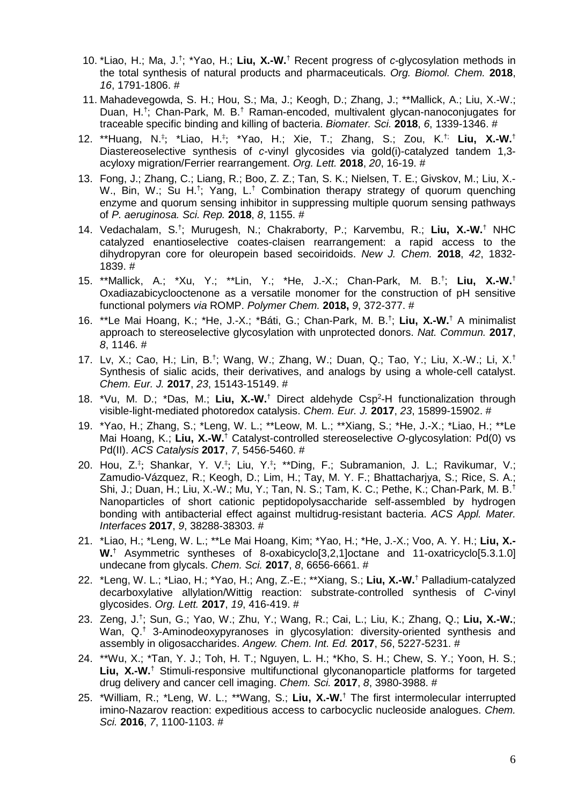- 10. \*Liao, H.; Ma, J.† ; \*Yao, H.; **Liu, X.-W.**† Recent progress of *c*-glycosylation methods in the total synthesis of natural products and pharmaceuticals. *Org. Biomol. Chem.* **2018**, *16*, 1791-1806. #
- 11. Mahadevegowda, S. H.; Hou, S.; Ma, J.; Keogh, D.; Zhang, J.; \*\*Mallick, A.; Liu, X.-W.; Duan, H.<sup>†</sup>; Chan-Park, M. B.<sup>†</sup> Raman-encoded, multivalent glycan-nanoconjugates for traceable specific binding and killing of bacteria. *Biomater. Sci.* **2018**, *6*, 1339-1346. #
- 12. \*\*Huang, N.‡ ; \*Liao, H.‡ ; \*Yao, H.; Xie, T.; Zhang, S.; Zou, K.†; **Liu, X.-W.**† Diastereoselective synthesis of *c*-vinyl glycosides via gold(i)-catalyzed tandem 1,3 acyloxy migration/Ferrier rearrangement. *Org. Lett.* **2018**, *20*, 16-19. #
- 13. Fong, J.; Zhang, C.; Liang, R.; Boo, Z. Z.; Tan, S. K.; Nielsen, T. E.; Givskov, M.; Liu, X.- W., Bin, W.; Su H.<sup>†</sup>; Yang, L.<sup>†</sup> Combination therapy strategy of quorum quenching enzyme and quorum sensing inhibitor in suppressing multiple quorum sensing pathways of *P. aeruginosa. Sci. Rep.* **2018**, *8*, 1155. #
- 14. Vedachalam, S.† ; Murugesh, N.; Chakraborty, P.; Karvembu, R.; **Liu, X.-W.**† NHC catalyzed enantioselective coates-claisen rearrangement: a rapid access to the dihydropyran core for oleuropein based secoiridoids. *New J. Chem.* **2018**, *42*, 1832- 1839. #
- 15. \*\*Mallick, A.; \*Xu, Y.; \*\*Lin, Y.; \*He, J.-X.; Chan-Park, M. B.† ; **Liu, X.-W.**† Oxadiazabicyclooctenone as a versatile monomer for the construction of pH sensitive functional polymers *via* ROMP. *Polymer Chem.* **2018,** *9*, 372-377. #
- 16. \*\*Le Mai Hoang, K.; \*He, J.-X.; \*Báti, G.; Chan-Park, M. B.† ; **Liu, X.-W.**† A minimalist approach to stereoselective glycosylation with unprotected donors. *Nat. Commun.* **2017**, *8*, 1146. #
- 17. Lv, X.; Cao, H.; Lin, B.† ; Wang, W.; Zhang, W.; Duan, Q.; Tao, Y.; Liu, X.-W.; Li, X.† Synthesis of sialic acids, their derivatives, and analogs by using a whole-cell catalyst. *Chem. Eur. J.* **2017**, *23*, 15143-15149. #
- 18. \*Vu, M. D.; \*Das, M.; Liu, X.-W.<sup>†</sup> Direct aldehyde Csp<sup>2</sup>-H functionalization through visible-light-mediated photoredox catalysis. *Chem. Eur. J.* **2017**, *23*, 15899-15902. #
- 19. \*Yao, H.; Zhang, S.; \*Leng, W. L.; \*\*Leow, M. L.; \*\*Xiang, S.; \*He, J.-X.; \*Liao, H.; \*\*Le Mai Hoang, K.; Liu, X.-W.<sup>†</sup> Catalyst-controlled stereoselective O-glycosylation: Pd(0) vs Pd(II). *ACS Catalysis* **2017**, *7*, 5456-5460. #
- 20. Hou, Z.‡ ; Shankar, Y. V.‡ ; Liu, Y.‡ ; \*\*Ding, F.; Subramanion, J. L.; Ravikumar, V.; Zamudio-Vázquez, R.; Keogh, D.; Lim, H.; Tay, M. Y. F.; Bhattacharjya, S.; Rice, S. A.; Shi, J.; Duan, H.; Liu, X.-W.; Mu, Y.; Tan, N. S.; Tam, K. C.; Pethe, K.; Chan-Park, M. B.† Nanoparticles of short cationic peptidopolysaccharide self-assembled by hydrogen bonding with antibacterial effect against multidrug-resistant bacteria. *ACS Appl. Mater. Interfaces* **2017**, *9*, 38288-38303. #
- 21. \*Liao, H.; \*Leng, W. L.; \*\*Le Mai Hoang, Kim; \*Yao, H.; \*He, J.-X.; Voo, A. Y. H.; **Liu, X.- W.**† Asymmetric syntheses of 8-oxabicyclo[3,2,1]octane and 11-oxatricyclo[5.3.1.0] undecane from glycals. *Chem. Sci.* **2017**, *8*, 6656-6661. #
- 22. \*Leng, W. L.; \*Liao, H.; \*Yao, H.; Ang, Z.-E.; \*\*Xiang, S.; **Liu, X.-W.**† Palladium-catalyzed decarboxylative allylation/Wittig reaction: substrate-controlled synthesis of *C*-vinyl glycosides. *Org. Lett.* **2017**, *19*, 416-419. #
- 23. Zeng, J.† ; Sun, G.; Yao, W.; Zhu, Y.; Wang, R.; Cai, L.; Liu, K.; Zhang, Q.; **Liu, X.-W.**; Wan, Q.<sup>†</sup> 3-Aminodeoxypyranoses in glycosylation: diversity-oriented synthesis and assembly in oligosaccharides. *Angew. Chem. Int. Ed.* **2017**, *56*, 5227-5231. #
- 24. \*\*Wu, X.; \*Tan, Y. J.; Toh, H. T.; Nguyen, L. H.; \*Kho, S. H.; Chew, S. Y.; Yoon, H. S.; Liu, X.-W.<sup>†</sup> Stimuli-responsive multifunctional glyconanoparticle platforms for targeted drug delivery and cancer cell imaging. *Chem. Sci.* **2017**, *8*, 3980-3988. #
- 25. \*William, R.; \*Leng, W. L.; \*\*Wang, S.; **Liu, X.-W.**† The first intermolecular interrupted imino-Nazarov reaction: expeditious access to carbocyclic nucleoside analogues. *Chem. Sci.* **2016**, *7*, 1100-1103. #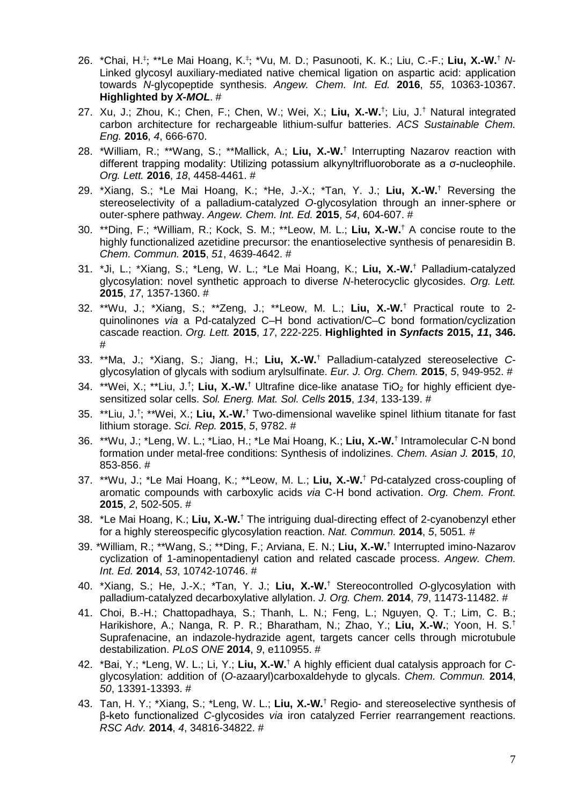- 26. \*Chai, H.‡ ; \*\*Le Mai Hoang, K.‡ ; \*Vu, M. D.; Pasunooti, K. K.; Liu, C.-F.; **Liu, X.-W.**† *N*-Linked glycosyl auxiliary-mediated native chemical ligation on aspartic acid: application towards *N*-glycopeptide synthesis. *Angew. Chem. Int. Ed.* **2016**, *55*, 10363-10367. **Highlighted by** *X-MOL*. #
- 27. Xu, J.; Zhou, K.; Chen, F.; Chen, W.; Wei, X.; **Liu, X.-W.**† ; Liu, J.† Natural integrated carbon architecture for rechargeable lithium-sulfur batteries. *ACS Sustainable Chem. Eng.* **2016**, *4*, 666-670.
- 28. \*William, R.; \*\*Wang, S.; \*\*Mallick, A.; **Liu, X.-W.**† Interrupting Nazarov reaction with different trapping modality: Utilizing potassium alkynyltrifluoroborate as a σ-nucleophile. *Org. Lett.* **2016**, *18*, 4458-4461. #
- 29. \*Xiang, S.; \*Le Mai Hoang, K.; \*He, J.-X.; \*Tan, Y. J.; **Liu, X.-W.**† Reversing the stereoselectivity of a palladium-catalyzed *O*-glycosylation through an inner-sphere or outer-sphere pathway. *Angew. Chem. Int. Ed.* **2015**, *54*, 604-607. #
- 30. \*\*Ding, F.; \*William, R.; Kock, S. M.; \*\*Leow, M. L.; **Liu, X.-W.**† A concise route to the highly functionalized azetidine precursor: the enantioselective synthesis of penaresidin B. *Chem. Commun.* **2015**, *51*, 4639-4642. #
- 31. \*Ji, L.; \*Xiang, S.; \*Leng, W. L.; \*Le Mai Hoang, K.; **Liu, X.-W.**† Palladium-catalyzed glycosylation: novel synthetic approach to diverse *N*-heterocyclic glycosides. *Org. Lett.* **2015**, *17*, 1357-1360. #
- 32. \*\*Wu, J.; \*Xiang, S.; \*\*Zeng, J.; \*\*Leow, M. L.; **Liu, X.-W.**† Practical route to 2 quinolinones *via* a Pd-catalyzed C–H bond activation/C–C bond formation/cyclization cascade reaction. *Org. Lett.* **2015**, *17*, 222-225. **Highlighted in** *Synfacts* **2015,** *11***, 346.**  #
- 33. \*\*Ma, J.; \*Xiang, S.; Jiang, H.; **Liu, X.-W.**† Palladium-catalyzed stereoselective *C*glycosylation of glycals with sodium arylsulfinate. *Eur. J. Org. Chem.* **2015**, *5*, 949-952. #
- 34. \*\*Wei, X.; \*\*Liu, J.<sup>†</sup>; Liu, X.-W.<sup>†</sup> Ultrafine dice-like anatase TiO<sub>2</sub> for highly efficient dyesensitized solar cells. *Sol. Energ. Mat. Sol. Cells* **2015**, *134*, 133-139. #
- 35. \*\*Liu, J.† ; \*\*Wei, X.; **Liu, X.-W.**† Two-dimensional wavelike spinel lithium titanate for fast lithium storage. *Sci. Rep.* **2015**, *5*, 9782. #
- 36. \*\*Wu, J.; \*Leng, W. L.; \*Liao, H.; \*Le Mai Hoang, K.; **Liu, X.-W.**† Intramolecular C-N bond formation under metal-free conditions: Synthesis of indolizines. *Chem. Asian J.* **2015**, *10*, 853-856. #
- 37. \*\*Wu, J.; \*Le Mai Hoang, K.; \*\*Leow, M. L.; **Liu, X.-W.**† Pd-catalyzed cross-coupling of aromatic compounds with carboxylic acids *via* C-H bond activation. *Org. Chem. Front.*  **2015**, *2*, 502-505. #
- 38. \*Le Mai Hoang, K.; **Liu, X.-W.**† The intriguing dual-directing effect of 2-cyanobenzyl ether for a highly stereospecific glycosylation reaction. *Nat. Commun.* **2014**, *5*, 5051*.* #
- 39. \*William, R.; \*\*Wang, S.; \*\*Ding, F.; Arviana, E. N.; **Liu, X.-W.**† Interrupted imino-Nazarov cyclization of 1-aminopentadienyl cation and related cascade process. *Angew. Chem. Int. Ed.* **2014**, *53*, 10742-10746. #
- 40. \*Xiang, S.; He, J.-X.; \*Tan, Y. J.; **Liu, X.-W.**† Stereocontrolled *O*-glycosylation with palladium-catalyzed decarboxylative allylation. *J. Org. Chem.* **2014**, *79*, 11473-11482. #
- 41. Choi, B.-H.; Chattopadhaya, S.; Thanh, L. N.; Feng, L.; Nguyen, Q. T.; Lim, C. B.; Harikishore, A.; Nanga, R. P. R.; Bharatham, N.; Zhao, Y.; **Liu, X.-W.**; Yoon, H. S.† Suprafenacine, an indazole-hydrazide agent, targets cancer cells through microtubule destabilization. *PLoS ONE* **2014**, *9*, e110955. #
- 42. \*Bai, Y.; \*Leng, W. L.; Li, Y.; **Liu, X.-W.**† A highly efficient dual catalysis approach for *C*glycosylation: addition of (*O*-azaaryl)carboxaldehyde to glycals. *Chem. Commun.* **2014**, *50*, 13391-13393. #
- 43. Tan, H. Y.; \*Xiang, S.; \*Leng, W. L.; **Liu, X.-W.**† Regio- and stereoselective synthesis of β-keto functionalized *C*-glycosides *via* iron catalyzed Ferrier rearrangement reactions. *RSC Adv.* **2014**, *4*, 34816-34822. #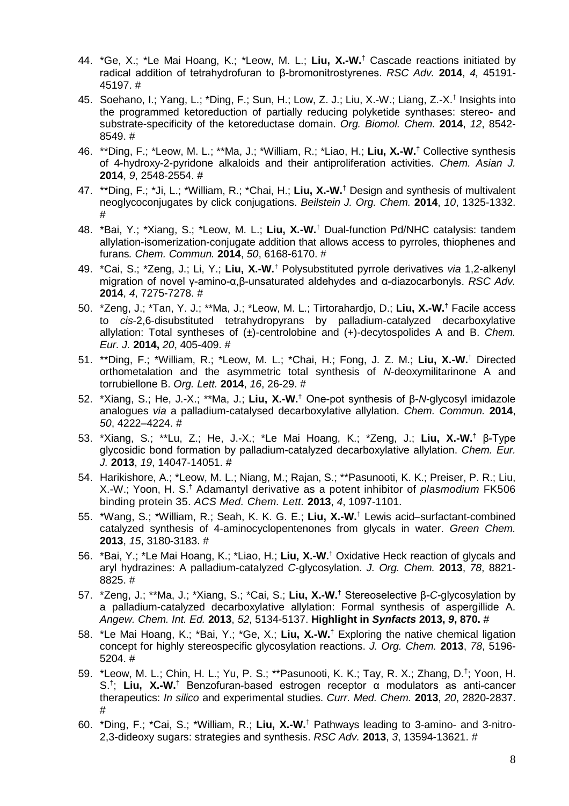- 44. \*Ge, X.; \*Le Mai Hoang, K.; \*Leow, M. L.; **Liu, X.-W.**† Cascade reactions initiated by radical addition of tetrahydrofuran to β-bromonitrostyrenes. *RSC Adv.* **2014**, *4,* 45191- 45197. #
- 45. Soehano, I.; Yang, L.; \*Ding, F.; Sun, H.; Low, Z. J.; Liu, X.-W.; Liang, Z.-X.† Insights into the programmed ketoreduction of partially reducing polyketide synthases: stereo- and substrate-specificity of the ketoreductase domain. *Org. Biomol. Chem.* **2014**, *12*, 8542- 8549. #
- 46. \*\*Ding, F.; \*Leow, M. L.; \*\*Ma, J.; \*William, R.; \*Liao, H.; **Liu, X.-W.**† Collective synthesis of 4-hydroxy-2-pyridone alkaloids and their antiproliferation activities. *Chem. Asian J.* **2014**, *9*, 2548-2554. #
- 47. \*\*Ding, F.; \*Ji, L.; \*William, R.; \*Chai, H.; **Liu, X.-W.**† Design and synthesis of multivalent neoglycoconjugates by click conjugations. *Beilstein J. Org. Chem.* **2014**, *10*, 1325-1332. #
- 48. \*Bai, Y.; \*Xiang, S.; \*Leow, M. L.; **Liu, X.-W.**† Dual-function Pd/NHC catalysis: tandem allylation-isomerization-conjugate addition that allows access to pyrroles, thiophenes and furans*. Chem. Commun.* **2014**, *50*, 6168-6170. #
- 49. \*Cai, S.; \*Zeng, J.; Li, Y.; **Liu, X.-W.**† Polysubstituted pyrrole derivatives *via* 1,2-alkenyl migration of novel γ-amino-α,β-unsaturated aldehydes and α-diazocarbonyls. *RSC Adv.*  **2014**, *4*, 7275-7278. #
- 50. \*Zeng, J.; \*Tan, Y. J.; \*\*Ma, J.; \*Leow, M. L.; Tirtorahardjo, D.; **Liu, X.-W.**† Facile access to *cis*-2,6-disubstituted tetrahydropyrans by palladium-catalyzed decarboxylative allylation: Total syntheses of (±)-centrolobine and (+)-decytospolides A and B. *Chem. Eur. J.* **2014,** *20*, 405-409. #
- 51. \*\*Ding, F.; \*William, R.; \*Leow, M. L.; \*Chai, H.; Fong, J. Z. M.; **Liu, X.-W.**† Directed orthometalation and the asymmetric total synthesis of *N*-deoxymilitarinone A and torrubiellone B. *Org. Lett.* **2014**, *16*, 26-29. #
- 52. \*Xiang, S.; He, J.-X.; \*\*Ma, J.; **Liu, X.-W.**† One-pot synthesis of β-*N*-glycosyl imidazole analogues *via* a palladium-catalysed decarboxylative allylation. *Chem. Commun.* **2014**, *50*, 4222–4224. #
- 53. \*Xiang, S.; \*\*Lu, Z.; He, J.-X.; \*Le Mai Hoang, K.; \*Zeng, J.; **Liu, X.-W.**† β-Type glycosidic bond formation by palladium-catalyzed decarboxylative allylation. *Chem. Eur. J.* **2013**, *19*, 14047-14051. #
- 54. Harikishore, A.; \*Leow, M. L.; Niang, M.; Rajan, S.; \*\*Pasunooti, K. K.; Preiser, P. R.; Liu, X.-W.; Yoon, H. S.† Adamantyl derivative as a potent inhibitor of *plasmodium* FK506 binding protein 35. *ACS Med. Chem. Lett.* **2013**, *4*, 1097-1101.
- 55. \*Wang, S.; \*William, R.; Seah, K. K. G. E.; **Liu, X.-W.**† Lewis acid–surfactant-combined catalyzed synthesis of 4-aminocyclopentenones from glycals in water. *Green Chem.*  **2013**, *15*, 3180-3183. #
- 56. \*Bai, Y.; \*Le Mai Hoang, K.; \*Liao, H.; **Liu, X.-W.**† Oxidative Heck reaction of glycals and aryl hydrazines: A palladium-catalyzed *C*-glycosylation. *J. Org. Chem.* **2013**, *78*, 8821- 8825. #
- 57. \*Zeng, J.; \*\*Ma, J.; \*Xiang, S.; \*Cai, S.; **Liu, X.-W.**† Stereoselective β-*C*-glycosylation by a palladium-catalyzed decarboxylative allylation: Formal synthesis of aspergillide A. *Angew. Chem. Int. Ed.* **2013**, *52*, 5134-5137. **Highlight in** *Synfacts* **2013,** *9***, 870.** #
- 58. \*Le Mai Hoang, K.; \*Bai, Y.; \*Ge, X.; **Liu, X.-W.**† Exploring the native chemical ligation concept for highly stereospecific glycosylation reactions. *J. Org. Chem.* **2013**, *78*, 5196- 5204. #
- 59. \*Leow, M. L.; Chin, H. L.; Yu, P. S.; \*\*Pasunooti, K. K.; Tay, R. X.; Zhang, D.<sup>†</sup>; Yoon, H. S.† ; **Liu, X.-W.**† Benzofuran-based estrogen receptor α modulators as anti-cancer therapeutics: *In silico* and experimental studies. *Curr. Med. Chem.* **2013**, *20*, 2820-2837. #
- 60. \*Ding, F.; \*Cai, S.; \*William, R.; **Liu, X.-W.**† Pathways leading to 3-amino- and 3-nitro-2,3-dideoxy sugars: strategies and synthesis. *RSC Adv.* **2013**, *3*, 13594-13621. #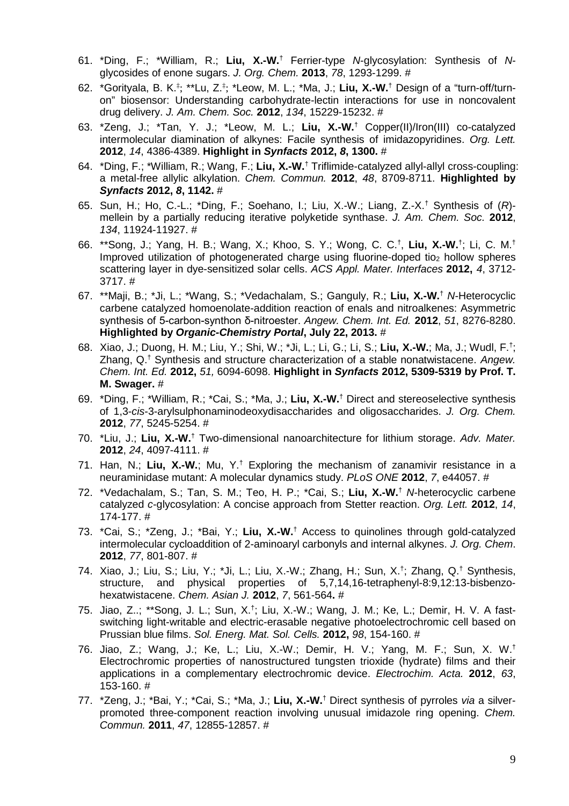- 61. \*Ding, F.; \*William, R.; **Liu, X.-W.**† Ferrier-type *N*-glycosylation: Synthesis of *N*glycosides of enone sugars. *J. Org. Chem.* **2013**, *78*, 1293-1299. #
- 62. \*Gorityala, B. K.<sup>‡</sup>; \*\*Lu, Z.<sup>‡</sup>; \*Leow, M. L.; \*Ma, J.; Liu, X.-W.<sup>†</sup> Design of a "turn-off/turnon" biosensor: Understanding carbohydrate-lectin interactions for use in noncovalent drug delivery. *J. Am. Chem. Soc.* **2012**, *134*, 15229-15232. #
- 63. \*Zeng, J.; \*Tan, Y. J.; \*Leow, M. L.; **Liu, X.-W.**† Copper(II)/Iron(III) co-catalyzed intermolecular diamination of alkynes: Facile synthesis of imidazopyridines. *Org. Lett.*  **2012**, *14*, 4386-4389. **Highlight in** *Synfacts* **2012,** *8***, 1300.** #
- 64. \*Ding, F.; \*William, R.; Wang, F.; **Liu, X.-W.**† Triflimide-catalyzed allyl-allyl cross-coupling: a metal-free allylic alkylation. *Chem. Commun.* **2012**, *48*, 8709-8711. **Highlighted by**  *Synfacts* **2012,** *8***, 1142.** #
- 65. Sun, H.; Ho, C.-L.; \*Ding, F.; Soehano, I.; Liu, X.-W.; Liang, Z.-X.† Synthesis of (*R*) mellein by a partially reducing iterative polyketide synthase. *J. Am. Chem. Soc.* **2012**, *134*, 11924-11927. #
- 66. \*\*Song, J.; Yang, H. B.; Wang, X.; Khoo, S. Y.; Wong, C. C.<sup>†</sup>, Liu, X.-W.<sup>†</sup>; Li, C. M.<sup>†</sup> Improved utilization of photogenerated charge using fluorine-doped tio<sub>2</sub> hollow spheres scattering layer in dye-sensitized solar cells. *ACS Appl. Mater. Interfaces* **2012,** *4*, 3712- 3717. #
- 67. \*\*Maji, B.; \*Ji, L.; \*Wang, S.; \*Vedachalam, S.; Ganguly, R.; **Liu, X.-W.**† *N*-Heterocyclic carbene catalyzed homoenolate-addition reaction of enals and nitroalkenes: Asymmetric synthesis of 5-carbon-synthon δ-nitroester. *Angew. Chem. Int. Ed.* **2012**, *51*, 8276-8280. **Highlighted by** *Organic-Chemistry Portal***, July 22, 2013.** #
- 68. Xiao, J.; Duong, H. M.; Liu, Y.; Shi, W.; \*Ji, L.; Li, G.; Li, S.; **Liu, X.-W.**; Ma, J.; Wudl, F.† ; Zhang, Q.† Synthesis and structure characterization of a stable nonatwistacene. *Angew. Chem. Int. Ed.* **2012,** *51,* 6094-6098. **Highlight in** *Synfacts* **2012, 5309-5319 by Prof. T. M. Swager.** #
- 69. \*Ding, F.; \*William, R.; \*Cai, S.; \*Ma, J.; **Liu, X.-W.**† [Direct and stereoselective synthesis](http://www.ncbi.nlm.nih.gov.ezlibproxy1.ntu.edu.sg/pubmed/22651548)  of 1,3-*cis*[-3-arylsulphonaminodeoxydisaccharides and oligosaccharides.](http://www.ncbi.nlm.nih.gov.ezlibproxy1.ntu.edu.sg/pubmed/22651548) *J. Org. Chem.* **2012**, *77*, 5245-5254. #
- 70. \*Liu, J.; **Liu, X.-W.**† Two-dimensional nanoarchitecture for lithium storage. *Adv. Mater.*  **2012**, *24*, 4097-4111. #
- 71. Han, N.; **Liu, X.-W.**; Mu, Y.† Exploring the mechanism of zanamivir resistance in a neuraminidase mutant: A molecular dynamics study. *PLoS ONE* **2012**, *7*, e44057. #
- 72. \*Vedachalam, S.; Tan, S. M.; Teo, H. P.; \*Cai, S.; **Liu, X.-W.**† *N*-heterocyclic carbene catalyzed *c*-glycosylation: A concise approach from Stetter reaction. *Org. Lett.* **2012**, *14*, 174-177. #
- 73. \*Cai, S.; \*Zeng, J.; \*Bai, Y.; **Liu, X.-W.**† Access to quinolines through gold-catalyzed intermolecular cycloaddition of 2-aminoaryl carbonyls and internal alkynes. *J. Org. Chem*. **2012**, *77*, 801-807. #
- 74. Xiao, J.; Liu, S.; Liu, Y.; \*Ji, L.; Liu, X.-W.; Zhang, H.; Sun, X.† ; Zhang, Q.† Synthesis, structure, and physical properties of 5,7,14,16-tetraphenyl-8:9,12:13-bisbenzohexatwistacene. *Chem. Asian J.* **2012**, *7*, 561-564**.** #
- 75. Jiao, Z..; \*\*Song, J. L.; Sun, X.<sup>†</sup>; Liu, X.-W.; Wang, J. M.; Ke, L.[; Demir, H. V. A](http://apps.webofknowledge.com.ezlibproxy1.ntu.edu.sg/OneClickSearch.do?product=WOS&search_mode=OneClickSearch&colName=WOS&SID=Q15copAB1OHPinbfNIO&field=AU&value=Demir,%20HV) fastswitching light-writable and electric-erasable negative photoelectrochromic cell based on Prussian blue films. *Sol. Energ. Mat. Sol. Cells.* **2012,** *98*, 154-160. #
- 76. Jiao, Z.; Wang, J.; Ke, L.; Liu, X.-W.; Demir, H. V.; Yang, M. F.; Sun, X. W.† Electrochromic properties of nanostructured tungsten trioxide (hydrate) films and their applications in a complementary electrochromic device. *Electrochim. Acta.* **2012**, *63*, 153-160. #
- 77. \*Zeng, J.; \*Bai, Y.; \*Cai, S.; \*Ma, J.; **Liu, X.-W.**† Direct synthesis of pyrroles *via* a silverpromoted three-component reaction involving unusual imidazole ring opening. *Chem. Commun.* **2011**, *47*, 12855-12857. #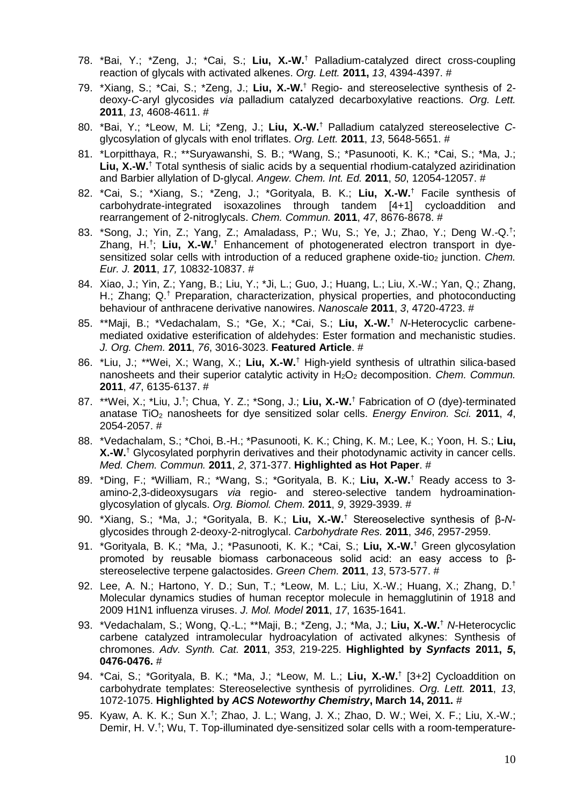- 78. \*Bai, Y.; \*Zeng, J.; \*Cai, S.; **Liu, X.-W.**† Palladium-catalyzed direct cross-coupling reaction of glycals with activated alkenes. *Org. Lett.* **2011,** *13*, 4394-4397. #
- 79. \*Xiang, S.; \*Cai, S.; \*Zeng, J.; **Liu, X.-W.**† Regio- and stereoselective synthesis of 2 deoxy-*C*-aryl glycosides *via* palladium catalyzed decarboxylative reactions. *Org. Lett.* **2011**, *13*, 4608-4611. #
- 80. \*Bai, Y.; \*Leow, M. Li; \*Zeng, J.; **Liu, X.-W.**† Palladium catalyzed stereoselective *C*glycosylation of glycals with enol triflates. *Org. Lett.* **2011**, *13*, 5648-5651. #
- 81. \*Lorpitthaya, R.; \*\*Suryawanshi, S. B.; \*Wang, S.; \*Pasunooti, K. K.; \*Cai, S.; \*Ma, J.; Liu, X.-W.<sup>†</sup> Total synthesis of sialic acids by a sequential rhodium-catalyzed aziridination and Barbier allylation of D-glycal. *Angew. Chem. Int. Ed.* **2011**, *50*, 12054-12057. #
- 82. \*Cai, S.; \*Xiang, S.; \*Zeng, J.; \*Gorityala, B. K.; **Liu, X.-W.**† Facile synthesis of carbohydrate-integrated isoxazolines through tandem [4+1] cycloaddition and rearrangement of 2-nitroglycals. *Chem. Commun.* **2011**, *47*, 8676-8678. #
- 83. \*Song, J.; Yin, Z.; Yang, Z.; Amaladass, P.; Wu, S.; Ye, J.; Zhao, Y.; Deng W.-Q.† ; Zhang, H.<sup>†</sup>; Liu, X.-W.<sup>†</sup> Enhancement of photogenerated electron transport in dyesensitized solar cells with introduction of a reduced graphene oxide-tio<sub>2</sub> junction. *Chem. Eur. J.* **2011**, *17,* 10832-10837. #
- 84. Xiao, J.; Yin, Z.; Yang, B.; Liu, Y.; \*Ji, L.; Guo, J.; Huang, L.; Liu, X.-W.; Yan, Q.; Zhang, H.; Zhang; Q.<sup>†</sup> Preparation, characterization, physical properties, and photoconducting behaviour of anthracene derivative nanowires. *Nanoscale* **2011**, *3*, 4720-4723. #
- 85. \*\*Maji, B.; \*Vedachalam, S.; \*Ge, X.; \*Cai, S.; **Liu, X.-W.**† *N*-Heterocyclic carbenemediated oxidative esterification of aldehydes: Ester formation and mechanistic studies. *J. Org. Chem.* **2011**, *76*, 3016-3023. **Featured Article**. #
- 86. \*Liu, J.; \*\*Wei, X.; Wang, X.; **Liu, X.-W.**† High-yield synthesis of ultrathin silica-based nanosheets and their superior catalytic activity in H<sub>2</sub>O<sub>2</sub> decomposition. *Chem. Commun.* **2011**, *47*, 6135-6137. #
- 87. \*\*Wei, X.; \*Liu, J.† ; Chua, Y. Z.; \*Song, J.; **Liu, X.-W.**† Fabrication of *O* (dye)-terminated anatase TiO2 nanosheets for dye sensitized solar cells. *Energy Environ. Sci.* **2011**, *4*, 2054-2057. #
- 88. \*Vedachalam, S.; \*Choi, B.-H.; \*Pasunooti, K. K.; Ching, K. M.; Lee, K.; Yoon, H. S.; **Liu, X.-W.**† Glycosylated porphyrin derivatives and their photodynamic activity in cancer cells. *Med. Chem. Commun.* **2011**, *2*, 371-377. **Highlighted as Hot Paper**. #
- 89. \*Ding, F.; \*William, R.; \*Wang, S.; \*Gorityala, B. K.; **Liu, X.-W.**† Ready access to 3 amino-2,3-dideoxysugars *via* regio- and stereo-selective tandem hydroaminationglycosylation of glycals. *Org. Biomol. Chem.* **2011**, *9*, 3929-3939. #
- 90. \*Xiang, S.; \*Ma, J.; \*Gorityala, B. K.; **Liu, X.-W.**† Stereoselective synthesis of β-*N*glycosides through 2-deoxy-2-nitroglycal. *Carbohydrate Res.* **2011**, *346*, 2957-2959.
- 91. \*Gorityala, B. K.; \*Ma, J.; \*Pasunooti, K. K.; \*Cai, S.; **Liu, X.-W.**† Green glycosylation promoted by reusable biomass carbonaceous solid acid: an easy access to βstereoselective terpene galactosides. *Green Chem.* **2011**, *13*, 573-577. #
- 92. Lee, A. N.; Hartono, Y. D.; Sun, T.; \*Leow, M. L.; Liu, X.-W.; Huang, X.; Zhang, D.<sup>†</sup> Molecular dynamics studies of human receptor molecule in hemagglutinin of 1918 and 2009 H1N1 influenza viruses. *J. Mol. Model* **2011**, *17*, 1635-1641.
- 93. \*Vedachalam, S.; Wong, Q.-L.; \*\*Maji, B.; \*Zeng, J.; \*Ma, J.; **Liu, X.-W.**† *N*-Heterocyclic carbene catalyzed intramolecular hydroacylation of activated alkynes: Synthesis of chromones. *Adv. Synth. Cat.* **2011**, *353*, 219-225. **Highlighted by** *Synfacts* **2011,** *5***, 0476-0476.** #
- 94. \*Cai, S.; \*Gorityala, B. K.; \*Ma, J.; \*Leow, M. L.; **Liu, X.-W.**† [3+2] Cycloaddition on carbohydrate templates: Stereoselective synthesis of pyrrolidines. *Org. Lett.* **2011**, *13*, 1072-1075. **Highlighted by** *ACS Noteworthy Chemistry***, March 14, 2011.** #
- 95. Kyaw, A. K. K.; Sun X.† ; Zhao, J. L.; Wang, J. X.; Zhao, D. W.; Wei, X. F.; Liu, X.-W.; Demir, H. V.<sup>†</sup>; Wu, T. Top-illuminated dye-sensitized solar cells with a room-temperature-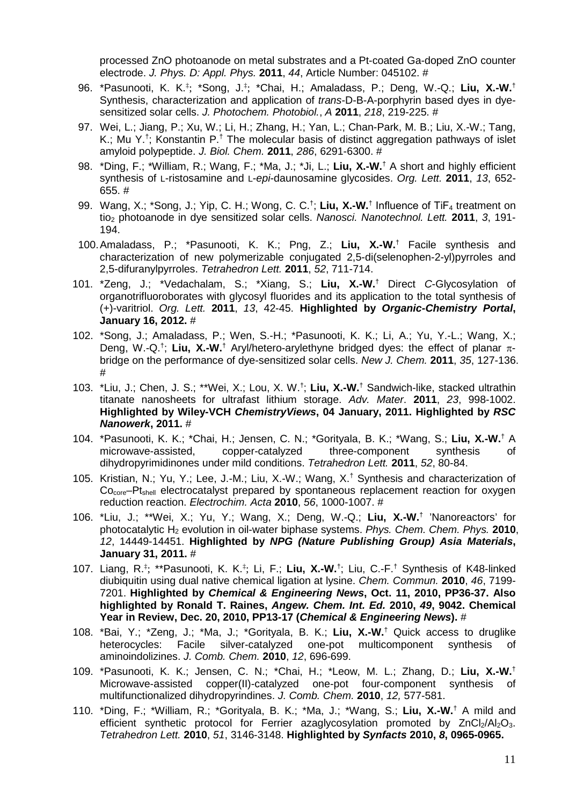processed ZnO photoanode on metal substrates and a Pt-coated Ga-doped ZnO counter electrode. *J. Phys. D: Appl. Phys.* **2011**, *44*, Article Number: 045102. #

- 96. \*Pasunooti, K. K.‡ ; \*Song, J.‡ ; \*Chai, H.; Amaladass, P.; Deng, W.-Q.; **Liu, X.-W.**† Synthesis, characterization and application of *trans*-D-B-A-porphyrin based dyes in dyesensitized solar cells. *J. Photochem. Photobiol.*, *A* **2011**, *[218](http://dx.doi.org/10.1016/j.jphotochem.2011.01.003)*, 219-225. #
- 97. Wei, L.; Jiang, P.; Xu, W.; Li, H.; Zhang, H.; Yan, L.; Chan-Park, M. B.; Liu, X.-W.; Tang, K.; Mu Y.<sup>†</sup>; Konstantin P.<sup>†</sup> The molecular basis of distinct aggregation pathways of islet amyloid polypeptide. *J. Biol. Chem.* **2011**, *286*, 6291-6300. #
- 98. \*Ding, F.; \*William, R.; Wang, F.; \*Ma, J.; \*Ji, L.; **Liu, X.-W.**† A short and highly efficient synthesis of L-ristosamine and L-*epi*-daunosamine glycosides. *Org. Lett.* **2011**, *13*, 652- 655. #
- 99. Wang, X.; \*Song, J.; Yip, C. H.; Wong, C. C.<sup>†</sup>; Liu, X.-W.<sup>†</sup> Influence of TiF<sub>4</sub> treatment on tio2 photoanode in dye sensitized solar cells. *Nanosci. Nanotechnol. Lett.* **2011**, *3*, 191- 194.
- 100. Amaladass, P.; \*Pasunooti, K. K.; Png, Z.; **Liu, X.-W.**† Facile synthesis and characterization of new polymerizable conjugated 2,5-di(selenophen-2-yl)pyrroles and 2,5-difuranylpyrroles. *Tetrahedron Lett.* **2011**, *[52](http://dx.doi.org/10.1016/j.tetlet.2010.12.019)*, 711-714.
- 101. \*Zeng, J.; \*Vedachalam, S.; \*Xiang, S.; **Liu, X.-W.**† Direct *C*-Glycosylation of organotrifluoroborates with glycosyl fluorides and its application to the total synthesis of (+)-varitriol. *Org. Lett.* **2011**, *13*, 42-45. **Highlighted by** *Organic-Chemistry Portal***, January 16, 2012.** #
- 102. \*Song, J.; Amaladass, P.; Wen, S.-H.; \*Pasunooti, K. K.; Li, A.; Yu, Y.-L.; Wang, X.; Deng, W.-Q.† ; **Liu, X.-W.**† Aryl/hetero-arylethyne bridged dyes: the effect of planar πbridge on the performance of dye-sensitized solar cells. *New J. Chem.* **2011**, *35*, 127-136. #
- 103. \*Liu, J.; Chen, J. S.; \*\*Wei, X.; Lou, X. W.† ; **Liu, X.-W.**† Sandwich-like, stacked ultrathin titanate nanosheets for ultrafast lithium storage. *Adv. Mater*. **2011**, *23*, 998-1002. **Highlighted by Wiley-VCH** *ChemistryViews***, 04 January, 2011. Highlighted by** *RSC Nanowerk***, 2011.** #
- 104. \*Pasunooti, K. K.; \*Chai, H.; Jensen, C. N.; \*Gorityala, B. K.; \*Wang, S.; **Liu, X.-W.**† A microwave-assisted, copper-catalyzed three-component synthesis of dihydropyrimidinones under mild conditions. *Tetrahedron Lett.* **2011**, *52*, 80-84.
- 105. Kristian, N.; Yu, Y.; Lee, J.-M.; Liu, X.-W.; Wang, X.† Synthesis and characterization of Co<sub>core</sub>–Pt<sub>shell</sub> electrocatalyst prepared by spontaneous replacement reaction for oxygen reduction reaction. *Electrochim. Acta* **2010**, *56*, 1000-1007. #
- 106. \*Liu, J.; \*\*Wei, X.; Yu, Y.; Wang, X.; Deng, W.-Q.; **Liu, X.-W.**† 'Nanoreactors' for photocatalytic H2 evolution in oil-water biphase systems. *Phys. Chem. Chem. Phys.* **2010**, *12*, 14449-14451. **Highlighted by** *NPG (Nature Publishing Group) Asia Materials***, January 31, 2011.** #
- 107. Liang, R.‡ ; \*\*Pasunooti, K. K.‡ ; Li, F.; **Liu, X.-W.**† ; Liu, C.-F.† Synthesis of K48-linked diubiquitin using dual native chemical ligation at lysine. *Chem. Commun.* **2010**, *46*, 7199- 7201. **Highlighted by** *Chemical & Engineering News***, Oct. 11, 2010, PP36-37. Also highlighted by Ronald T. Raines,** *Angew. Chem. Int. Ed.* **2010,** *49***, 9042. Chemical Year in Review, Dec. 20, 2010, PP13-17 (***Chemical & Engineering News***).** #
- 108. \*Bai, Y.; \*Zeng, J.; \*Ma, J.; \*Gorityala, B. K.; **Liu, X.-W.**† Quick access to druglike heterocycles: Facile silver-catalyzed one-pot multicomponent synthesis of aminoindolizines. *J. Comb. Chem.* **2010**, *12*, 696-699.
- 109. \*Pasunooti, K. K.; Jensen, C. N.; \*Chai, H.; \*Leow, M. L.; Zhang, D.; **Liu, X.-W.**† Microwave-assisted copper(II)-catalyzed one-pot four-component synthesis of multifunctionalized dihydropyrindines. *J. Comb. Chem.* **2010**, *12,* 577-581.
- 110. \*Ding, F.; \*William, R.; \*Gorityala, B. K.; \*Ma, J.; \*Wang, S.; **Liu, X.-W.**† A mild and efficient synthetic protocol for Ferrier azaglycosylation promoted by  $ZnCl<sub>2</sub>/Al<sub>2</sub>O<sub>3</sub>$ . *Tetrahedron Lett.* **2010**, *51*, 3146-3148. **Highlighted by** *Synfacts* **2010,** *8***, 0965-0965.**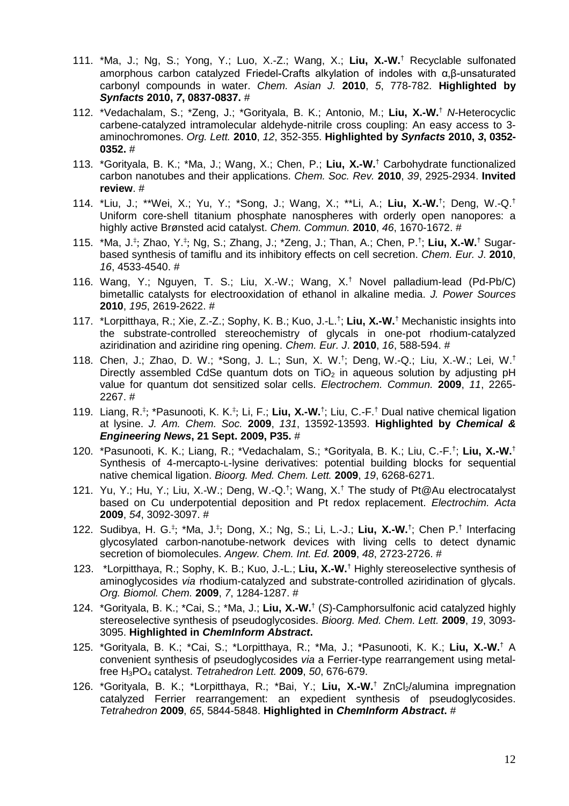- 111. \*Ma, J.; Ng, S.; Yong, Y.; Luo, X.-Z.; Wang, X.; **Liu, X.-W.**† Recyclable sulfonated amorphous carbon catalyzed Friedel-Crafts alkylation of indoles with α,β-unsaturated carbonyl compounds in water. *Chem. Asian J.* **2010**, *5*, 778-782. **Highlighted by**  *Synfacts* **2010,** *7***, 0837-0837.** #
- 112. \*Vedachalam, S.; \*Zeng, J.; \*Gorityala, B. K.; Antonio, M.; **Liu, X.-W.**† *N*-Heterocyclic carbene-catalyzed intramolecular aldehyde-nitrile cross coupling: An easy access to 3 aminochromones. *Org. Lett.* **2010**, *12*, 352-355. **Highlighted by** *Synfacts* **2010,** *3***, 0352- 0352.** #
- 113. \*Gorityala, B. K.; \*Ma, J.; Wang, X.; Chen, P.; **Liu, X.-W.**† Carbohydrate functionalized carbon nanotubes and their applications. *Chem. Soc. Rev.* **2010**, *39*, 2925-2934. **Invited review**. #
- 114. \*Liu, J.; \*\*Wei, X.; Yu, Y.; \*Song, J.; Wang, X.; \*\*Li, A.; **Liu, X.-W.**† ; Deng, W.-Q.† Uniform core-shell titanium phosphate nanospheres with orderly open nanopores: a highly active Brønsted acid catalyst. *Chem. Commun.* **2010**, *46*, 1670-1672. #
- 115. \*Ma, J.<sup>‡</sup>; Zhao, Y.<sup>‡</sup>; Ng, S.; Zhang, J.; \*Zeng, J.; Than, A.; Chen, P.<sup>†</sup>; Liu, X.-W.<sup>†</sup> Sugarbased synthesis of tamiflu and its inhibitory effects on cell secretion. *Chem. Eur. J*. **2010**, *16*, 4533-4540. #
- 116. Wang, Y.; Nguyen, T. S.; Liu, X.-W.; Wang, X.† Novel palladium-lead (Pd-Pb/C) bimetallic catalysts for electrooxidation of ethanol in alkaline media. *J. Power Sources* **2010**, *195*, 2619-2622. #
- 117. \*Lorpitthaya, R.; Xie, Z.-Z.; Sophy, K. B.; Kuo, J.-L.† ; **Liu, X.-W.**† Mechanistic insights into the substrate-controlled stereochemistry of glycals in one-pot rhodium-catalyzed aziridination and aziridine ring opening. *Chem. Eur. J*. **2010**, *16*, 588-594. #
- 118. Chen, J.; Zhao, D. W.; \*Song, J. L.; Sun, X. W.† ; Deng, W.-Q.; Liu, X.-W.; Lei, W.† Directly assembled CdSe quantum dots on  $TiO<sub>2</sub>$  in aqueous solution by adjusting pH value for quantum dot sensitized solar cells. *Electrochem. Commun.* **2009**, *11*, 2265- 2267. #
- 119. Liang, R.<sup>‡</sup>; \*Pasunooti, K. K.<sup>‡</sup>; Li, F.; **Liu, X.-W.**<sup>†</sup>; Liu, C.-F.<sup>†</sup> Dual native chemical ligation at lysine. *J. Am. Chem. Soc.* **2009**, *131*, 13592-13593. **Highlighted by** *Chemical & Engineering News***, 21 Sept. 2009, P35.** #
- 120. \*Pasunooti, K. K.; Liang, R.; \*Vedachalam, S.; \*Gorityala, B. K.; Liu, C.-F.† ; **Liu, X.-W.**† Synthesis of 4-mercapto-L-lysine derivatives: potential building blocks for sequential native chemical ligation. *Bioorg. Med. Chem. Lett.* **2009**, *19*, 6268-6271.
- 121. Yu, Y.; Hu, Y.; Liu, X.-W.; Deng, W.-Q.† ; Wang, X.† The study of Pt@Au electrocatalyst based on Cu underpotential deposition and Pt redox replacement. *Electrochim. Acta* **2009**, *54*, 3092-3097. #
- 122. Sudibya, H. G.‡ ; \*Ma, J.‡ ; Dong, X.; Ng, S.; Li, L.-J.; **Liu, X.-W.**† ; Chen P.† Interfacing glycosylated carbon-nanotube-network devices with living cells to detect dynamic secretion of biomolecules. *Angew. Chem. Int. Ed.* **2009**, *48*, 2723-2726. #
- 123. \*Lorpitthaya, R.; Sophy, K. B.; Kuo, J.-L.; **Liu, X.-W.**† Highly stereoselective synthesis of aminoglycosides *via* rhodium-catalyzed and substrate-controlled aziridination of glycals. *Org. Biomol. Chem.* **2009**, *7*, 1284-1287. #
- 124. \*Gorityala, B. K.; \*Cai, S.; \*Ma, J.; **Liu, X.-W.**† (*S*)-Camphorsulfonic acid catalyzed highly stereoselective synthesis of pseudoglycosides. *Bioorg. Med. Chem. Lett.* **2009**, *19*, 3093- 3095. **Highlighted in** *ChemInform Abstract***.**
- 125. \*Gorityala, B. K.; \*Cai, S.; \*Lorpitthaya, R.; \*Ma, J.; \*Pasunooti, K. K.; **Liu, X.-W.**† A convenient synthesis of pseudoglycosides *via* a Ferrier-type rearrangement using metalfree H3PO4 catalyst. *Tetrahedron Lett.* **2009**, *50*, 676-679.
- 126. \*Gorityala, B. K.; \*Lorpitthaya, R.; \*Bai, Y.; Liu, X.-W.<sup>†</sup> ZnCl<sub>2</sub>/alumina impregnation catalyzed Ferrier rearrangement: an expedient synthesis of pseudoglycosides. *Tetrahedron* **2009**, *65*, 5844-5848. **Highlighted in** *ChemInform Abstract***.** #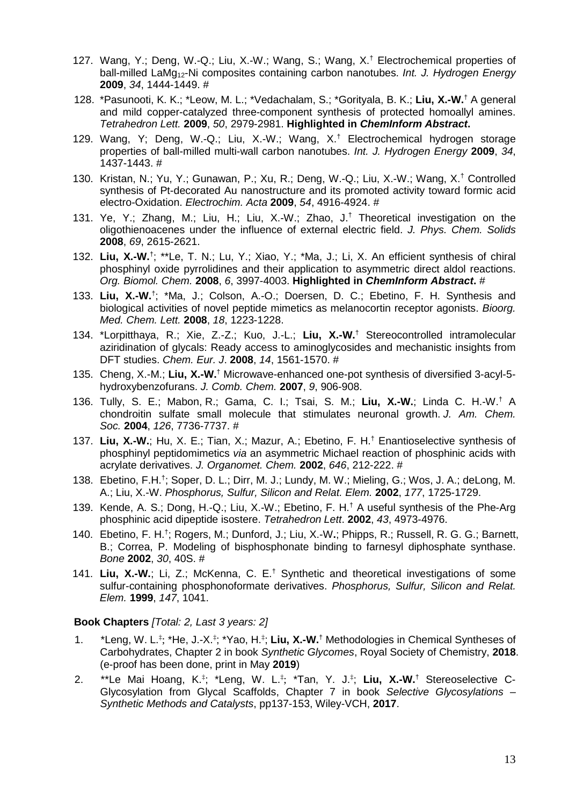- 127. Wang, Y.; Deng, W.-Q.; Liu, X.-W.; Wang, S.; Wang, X.† Electrochemical properties of ball-milled LaMg12-Ni composites containing carbon nanotubes. *Int. J. Hydrogen Energy* **2009**, *34*, 1444-1449. #
- 128. \*Pasunooti, K. K.; \*Leow, M. L.; \*Vedachalam, S.; \*Gorityala, B. K.; Liu, X.-W.<sup>†</sup> A general and mild copper-catalyzed three-component synthesis of protected homoallyl amines. *Tetrahedron Lett.* **2009**, *50*, 2979-2981. **Highlighted in** *ChemInform Abstract***.**
- 129. Wang, Y; Deng, W.-Q.; Liu, X.-W.; Wang, X.† Electrochemical hydrogen storage properties of ball-milled multi-wall carbon nanotubes. *Int. J. Hydrogen Energy* **2009**, *34*, 1437-1443. #
- 130. Kristan, N.; Yu, Y.; Gunawan, P.; Xu, R.; Deng, W.-Q.; Liu, X.-W.; Wang, X.† Controlled synthesis of Pt-decorated Au nanostructure and its promoted activity toward formic acid electro-Oxidation. *Electrochim. Acta* **2009**, *54*, 4916-4924. #
- 131. Ye, Y.; Zhang, M.; Liu, H.; Liu, X.-W.; Zhao, J.† Theoretical investigation on the oligothienoacenes under the influence of external electric field. *J. Phys. Chem. Solids* **2008**, *69*, 2615-2621.
- 132. **Liu, X.-W.**† ; \*\*Le, T. N.; Lu, Y.; Xiao, Y.; \*Ma, J.; Li, X. An efficient synthesis of chiral phosphinyl oxide pyrrolidines and their application to asymmetric direct aldol reactions. *Org. Biomol. Chem.* **2008**, *6*, 3997-4003. **Highlighted in** *ChemInform Abstract***.** #
- 133. **Liu, X.-W.**† ; \*Ma, J.; Colson, A.-O.; Doersen, D. C.; Ebetino, F. H. Synthesis and biological activities of novel peptide mimetics as melanocortin receptor agonists. *Bioorg. Med. Chem. Lett.* **2008**, *18*, 1223-1228.
- 134. \*Lorpitthaya, R.; Xie, Z.-Z.; Kuo, J.-L.; **Liu, X.-W.**† Stereocontrolled intramolecular aziridination of glycals: Ready access to aminoglycosides and mechanistic insights from DFT studies. *Chem. Eur. J*. **2008**, *14*, 1561-1570. #
- 135. Cheng, X.-M.; **Liu, X.-W.**† Microwave-enhanced one-pot synthesis of diversified 3-acyl-5 hydroxybenzofurans. *J. Comb. Chem.* **2007**, *9*, 906-908.
- 136. Tully, S. E.; Mabon, R.; Gama, C. I.; Tsai, S. M.; **Liu, X.-W.**; Linda C. H.-W.† A chondroitin sulfate small molecule that stimulates neuronal growth. *J. Am. Chem. Soc.* **2004**, *126*, 7736-7737. #
- 137. **Liu, X.-W.**; Hu, X. E.; Tian, X.; Mazur, A.; Ebetino, F. H.† Enantioselective synthesis of phosphinyl peptidomimetics *via* an asymmetric Michael reaction of phosphinic acids with acrylate derivatives. *J. Organomet. Chem.* **2002**, *646*, 212-222. #
- 138. Ebetino, F.H.† ; Soper, D. L.; Dirr, M. J.; Lundy, M. W.; Mieling, G.; Wos, J. A.; deLong, M. A.; Liu, X.-W. *Phosphorus, Sulfur, Silicon and Relat. Elem.* **2002**, *177*, 1725-1729.
- 139. Kende, A. S.; Dong, H.-Q.; Liu, X.-W.; Ebetino, F. H.<sup>†</sup> A useful synthesis of the Phe-Arg phosphinic acid dipeptide isostere. *Tetrahedron Lett*. **2002**, *43*, 4973-4976.
- 140. Ebetino, F. H.† ; Rogers, M.; Dunford, J.; Liu, X.-W**.**; Phipps, R.; Russell, R. G. G.; Barnett, B.; Correa, P. Modeling of bisphosphonate binding to farnesyl diphosphate synthase. *Bone* **2002**, *30*, 40S. #
- 141. **Liu, X.-W.**; Li, Z.; McKenna, C. E.† Synthetic and theoretical investigations of some sulfur-containing phosphonoformate derivatives. *Phosphorus, Sulfur, Silicon and Relat. Elem.* **1999**, *147*, 1041.

#### **Book Chapters** *[Total: 2, Last 3 years: 2]*

- 1. \*Leng, W. L.<sup>‡</sup>; \*He, J.-X.<sup>‡</sup>; \*Yao, H.<sup>‡</sup>; Liu, X.-W.<sup>†</sup> Methodologies in Chemical Syntheses of Carbohydrates, Chapter 2 in book *Synthetic Glycomes*, Royal Society of Chemistry, **2018**. (e-proof has been done, print in May **2019**)
- 2. \*\*Le Mai Hoang, K.<sup>‡</sup>; \*Leng, W. L.<sup>‡</sup>; \*Tan, Y. J.<sup>‡</sup>; Liu, X.-W.<sup>†</sup> Stereoselective C-Glycosylation from Glycal Scaffolds, Chapter 7 in book *Selective Glycosylations – Synthetic Methods and Catalysts*, pp137-153, Wiley-VCH, **2017**.